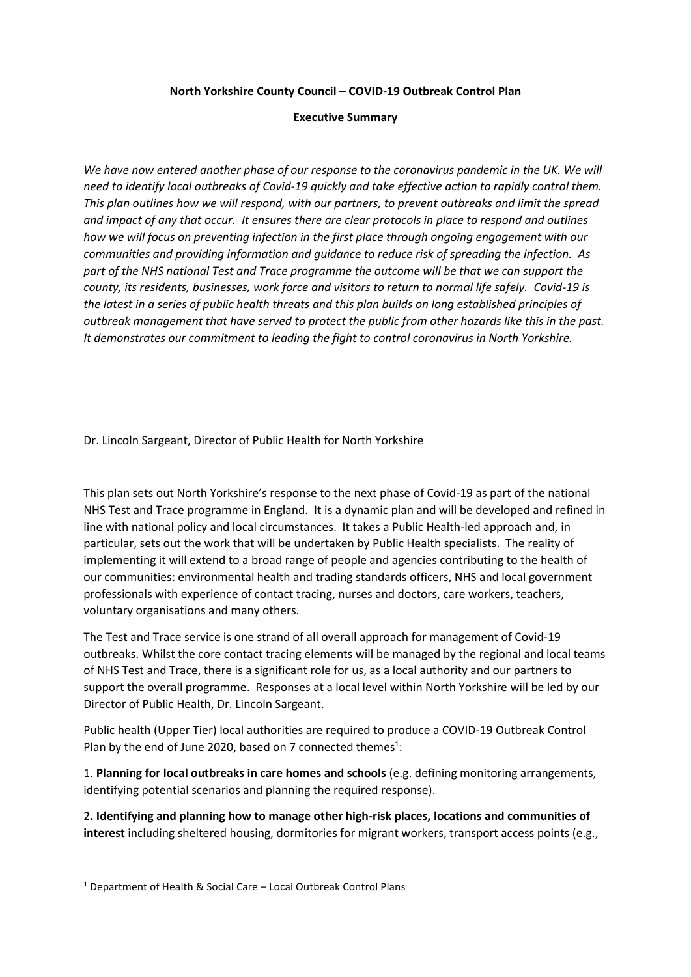**North Yorkshire County Council – COVID-19 Outbreak Control Plan**

## **Executive Summary**

We have now entered another phase of our response to the coronavirus pandemic in the UK. We will *need to identify local outbreaks of Covid-19 quickly and take effective action to rapidly control them. This plan outlines how we will respond, with our partners, to prevent outbreaks and limit the spread and impact of any that occur. It ensures there are clear protocols in place to respond and outlines how we will focus on preventing infection in the first place through ongoing engagement with our communities and providing information and guidance to reduce risk of spreading the infection. As part of the NHS national Test and Trace programme the outcome will be that we can support the county, its residents, businesses, work force and visitors to return to normal life safely. Covid-19 is the latest in a series of public health threats and this plan builds on long established principles of outbreak management that have served to protect the public from other hazards like this in the past. It demonstrates our commitment to leading the fight to control coronavirus in North Yorkshire.*

Dr. Lincoln Sargeant, Director of Public Health for North Yorkshire

This plan sets out North Yorkshire's response to the next phase of Covid-19 as part of the national NHS Test and Trace programme in England. It is a dynamic plan and will be developed and refined in line with national policy and local circumstances. It takes a Public Health-led approach and, in particular, sets out the work that will be undertaken by Public Health specialists. The reality of implementing it will extend to a broad range of people and agencies contributing to the health of our communities: environmental health and trading standards officers, NHS and local government professionals with experience of contact tracing, nurses and doctors, care workers, teachers, voluntary organisations and many others.

The Test and Trace service is one strand of all overall approach for management of Covid-19 outbreaks. Whilst the core contact tracing elements will be managed by the regional and local teams of NHS Test and Trace, there is a significant role for us, as a local authority and our partners to support the overall programme. Responses at a local level within North Yorkshire will be led by our Director of Public Health, Dr. Lincoln Sargeant.

Public health (Upper Tier) local authorities are required to produce a COVID-19 Outbreak Control Plan by the end of June 2020, based on 7 connected themes<sup>1</sup>:

1. **Planning for local outbreaks in care homes and schools** (e.g. defining monitoring arrangements, identifying potential scenarios and planning the required response).

2**. Identifying and planning how to manage other high-risk places, locations and communities of interest** including sheltered housing, dormitories for migrant workers, transport access points (e.g.,

<sup>1</sup> Department of Health & Social Care – Local Outbreak Control Plans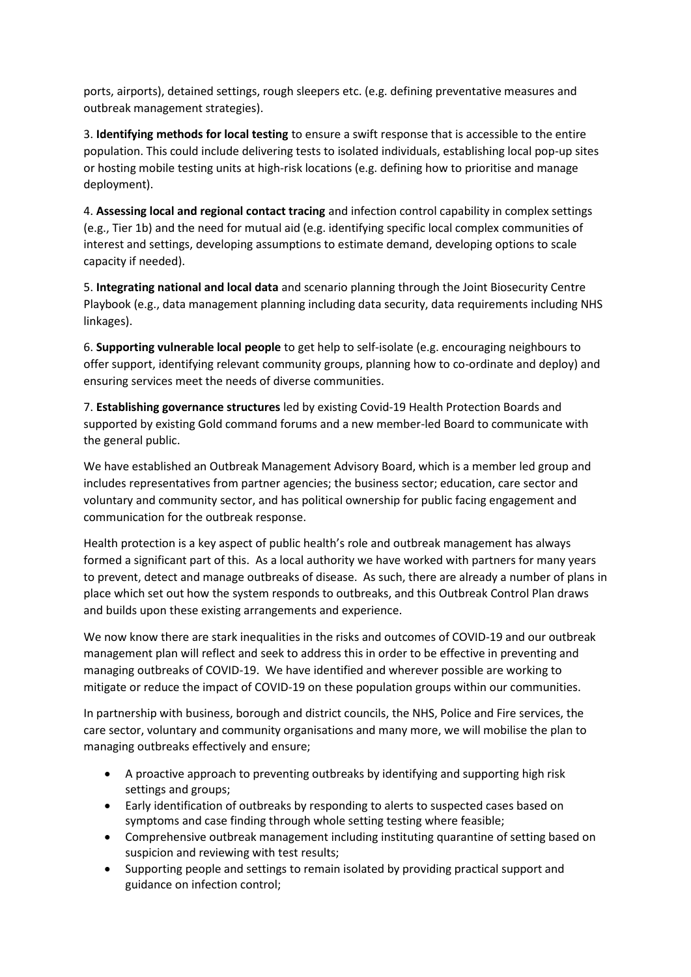ports, airports), detained settings, rough sleepers etc. (e.g. defining preventative measures and outbreak management strategies).

3. **Identifying methods for local testing** to ensure a swift response that is accessible to the entire population. This could include delivering tests to isolated individuals, establishing local pop-up sites or hosting mobile testing units at high-risk locations (e.g. defining how to prioritise and manage deployment).

4. **Assessing local and regional contact tracing** and infection control capability in complex settings (e.g., Tier 1b) and the need for mutual aid (e.g. identifying specific local complex communities of interest and settings, developing assumptions to estimate demand, developing options to scale capacity if needed).

5. **Integrating national and local data** and scenario planning through the Joint Biosecurity Centre Playbook (e.g., data management planning including data security, data requirements including NHS linkages).

6. **Supporting vulnerable local people** to get help to self-isolate (e.g. encouraging neighbours to offer support, identifying relevant community groups, planning how to co-ordinate and deploy) and ensuring services meet the needs of diverse communities.

7. **Establishing governance structures** led by existing Covid-19 Health Protection Boards and supported by existing Gold command forums and a new member-led Board to communicate with the general public.

We have established an Outbreak Management Advisory Board, which is a member led group and includes representatives from partner agencies; the business sector; education, care sector and voluntary and community sector, and has political ownership for public facing engagement and communication for the outbreak response.

Health protection is a key aspect of public health's role and outbreak management has always formed a significant part of this. As a local authority we have worked with partners for many years to prevent, detect and manage outbreaks of disease. As such, there are already a number of plans in place which set out how the system responds to outbreaks, and this Outbreak Control Plan draws and builds upon these existing arrangements and experience.

We now know there are stark inequalities in the risks and outcomes of COVID-19 and our outbreak management plan will reflect and seek to address this in order to be effective in preventing and managing outbreaks of COVID-19. We have identified and wherever possible are working to mitigate or reduce the impact of COVID-19 on these population groups within our communities.

In partnership with business, borough and district councils, the NHS, Police and Fire services, the care sector, voluntary and community organisations and many more, we will mobilise the plan to managing outbreaks effectively and ensure;

- A proactive approach to preventing outbreaks by identifying and supporting high risk settings and groups;
- Early identification of outbreaks by responding to alerts to suspected cases based on symptoms and case finding through whole setting testing where feasible;
- Comprehensive outbreak management including instituting quarantine of setting based on suspicion and reviewing with test results;
- Supporting people and settings to remain isolated by providing practical support and guidance on infection control;